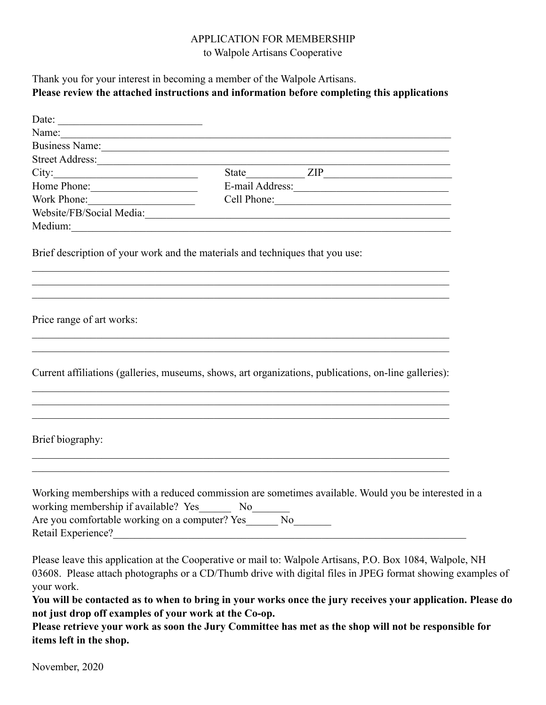#### APPLICATION FOR MEMBERSHIP to Walpole Artisans Cooperative

### Thank you for your interest in becoming a member of the Walpole Artisans. **Please review the attached instructions and information before completing this applications**

| Date: $\frac{1}{\sqrt{1-\frac{1}{2}} \cdot \frac{1}{2}}$                                                                                                                                                                      |                        |                                                                                                                                                                                                                                                                                                                                       |  |
|-------------------------------------------------------------------------------------------------------------------------------------------------------------------------------------------------------------------------------|------------------------|---------------------------------------------------------------------------------------------------------------------------------------------------------------------------------------------------------------------------------------------------------------------------------------------------------------------------------------|--|
| Name: Name and the second contract of the second contract of the second contract of the second contract of the second contract of the second contract of the second contract of the second contract of the second contract of |                        |                                                                                                                                                                                                                                                                                                                                       |  |
| Business Name:                                                                                                                                                                                                                |                        |                                                                                                                                                                                                                                                                                                                                       |  |
|                                                                                                                                                                                                                               |                        |                                                                                                                                                                                                                                                                                                                                       |  |
|                                                                                                                                                                                                                               |                        |                                                                                                                                                                                                                                                                                                                                       |  |
| Home Phone: 1988                                                                                                                                                                                                              |                        | E-mail Address:<br><u>E-mail Address:</u>                                                                                                                                                                                                                                                                                             |  |
| Work Phone:                                                                                                                                                                                                                   |                        |                                                                                                                                                                                                                                                                                                                                       |  |
|                                                                                                                                                                                                                               |                        | Website/FB/Social Media:                                                                                                                                                                                                                                                                                                              |  |
|                                                                                                                                                                                                                               |                        |                                                                                                                                                                                                                                                                                                                                       |  |
| Brief description of your work and the materials and techniques that you use:                                                                                                                                                 |                        | ,我们也不能在这里的时候,我们也不能在这里的时候,我们也不能在这里的时候,我们也不能会在这里的时候,我们也不能会在这里的时候,我们也不能会在这里的时候,我们也不                                                                                                                                                                                                                                                      |  |
| Price range of art works:                                                                                                                                                                                                     |                        |                                                                                                                                                                                                                                                                                                                                       |  |
|                                                                                                                                                                                                                               |                        | Current affiliations (galleries, museums, shows, art organizations, publications, on-line galleries):<br>,我们也不能在这里的时候,我们也不能在这里的时候,我们也不能会在这里的时候,我们也不能会在这里的时候,我们也不能会在这里的时候,我们也不能会在这里的时候,我们也不                                                                                                                                            |  |
| Brief biography:                                                                                                                                                                                                              |                        |                                                                                                                                                                                                                                                                                                                                       |  |
| working membership if available? Yes<br>Are you comfortable working on a computer? Yes________ No________                                                                                                                     | $No$ <sub>______</sub> | Working memberships with a reduced commission are sometimes available. Would you be interested in a                                                                                                                                                                                                                                   |  |
| your work.<br>not just drop off examples of your work at the Co-op.                                                                                                                                                           |                        | Please leave this application at the Cooperative or mail to: Walpole Artisans, P.O. Box 1084, Walpole, NH<br>03608. Please attach photographs or a CD/Thumb drive with digital files in JPEG format showing examples of<br>You will be contacted as to when to bring in your works once the jury receives your application. Please do |  |

**Please retrieve your work as soon the Jury Committee has met as the shop will not be responsible for items left in the shop.** 

November, 2020